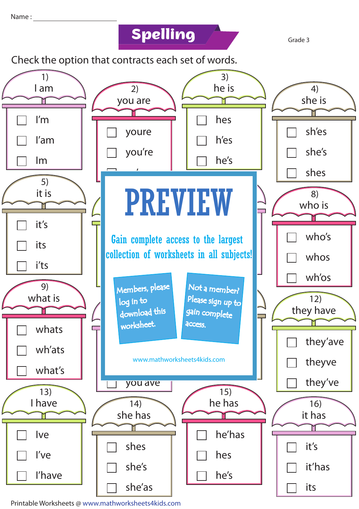Name :

**Spelling Grade 3** 

Check the option that contracts each set of words.



Printable Worksheets @ www.mathworksheets4kids.com